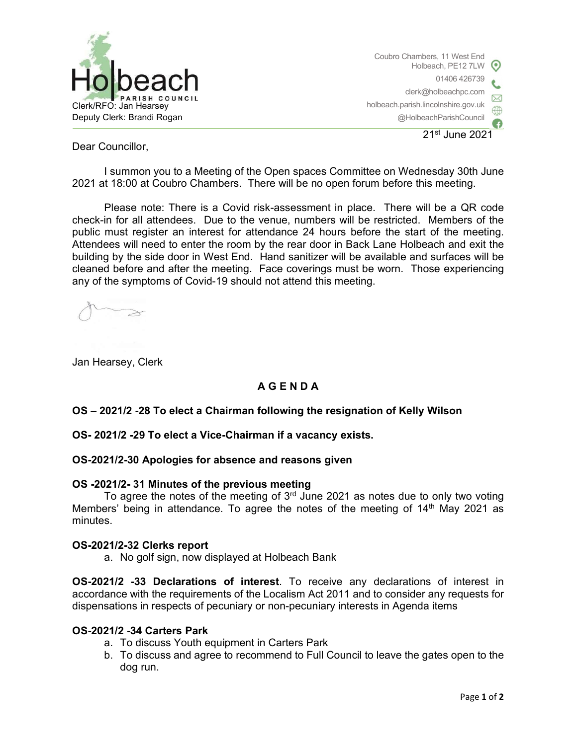

Coubro Chambers, 11 West End Holbeach, PE12 7LW 01406 426739 clerk@holbeachpc.com holbeach.parish.lincolnshire.gov.uk @HolbeachParishCouncil 21st June 2021

Dear Councillor,

I summon you to a Meeting of the Open spaces Committee on Wednesday 30th June 2021 at 18:00 at Coubro Chambers. There will be no open forum before this meeting.

Please note: There is a Covid risk-assessment in place. There will be a QR code check-in for all attendees. Due to the venue, numbers will be restricted. Members of the public must register an interest for attendance 24 hours before the start of the meeting. Attendees will need to enter the room by the rear door in Back Lane Holbeach and exit the building by the side door in West End. Hand sanitizer will be available and surfaces will be cleaned before and after the meeting. Face coverings must be worn. Those experiencing any of the symptoms of Covid-19 should not attend this meeting.

Jan Hearsey, Clerk

## A G E N D A

## OS – 2021/2 -28 To elect a Chairman following the resignation of Kelly Wilson

OS- 2021/2 -29 To elect a Vice-Chairman if a vacancy exists.

## OS-2021/2-30 Apologies for absence and reasons given

## OS -2021/2- 31 Minutes of the previous meeting

To agree the notes of the meeting of  $3<sup>rd</sup>$  June 2021 as notes due to only two voting Members' being in attendance. To agree the notes of the meeting of 14<sup>th</sup> May 2021 as minutes.

#### OS-2021/2-32 Clerks report

a. No golf sign, now displayed at Holbeach Bank

OS-2021/2 -33 Declarations of interest. To receive any declarations of interest in accordance with the requirements of the Localism Act 2011 and to consider any requests for dispensations in respects of pecuniary or non-pecuniary interests in Agenda items

## OS-2021/2 -34 Carters Park

- a. To discuss Youth equipment in Carters Park
- b. To discuss and agree to recommend to Full Council to leave the gates open to the dog run.